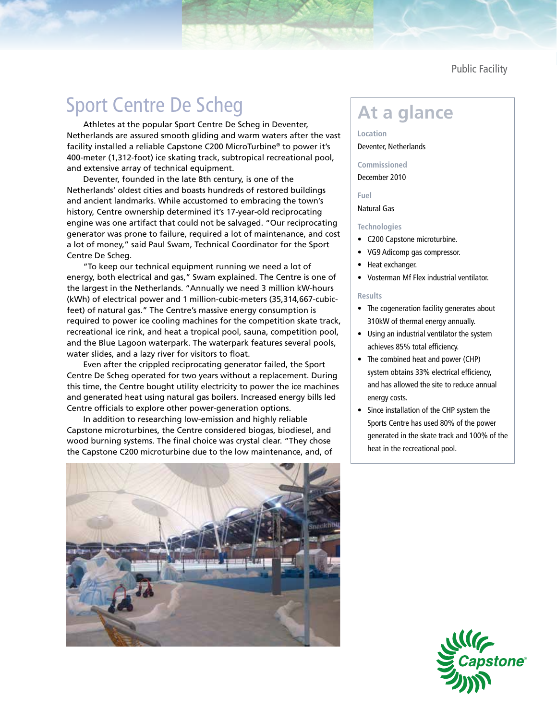Public Facility

# Sport Centre De Scheg **At a glance**

Athletes at the popular Sport Centre De Scheg in Deventer, Netherlands are assured smooth gliding and warm waters after the vast facility installed a reliable Capstone C200 MicroTurbine® to power it's 400-meter (1,312-foot) ice skating track, subtropical recreational pool, and extensive array of technical equipment.

Deventer, founded in the late 8th century, is one of the Netherlands' oldest cities and boasts hundreds of restored buildings and ancient landmarks. While accustomed to embracing the town's history, Centre ownership determined it's 17-year-old reciprocating engine was one artifact that could not be salvaged. "Our reciprocating generator was prone to failure, required a lot of maintenance, and cost a lot of money," said Paul Swam, Technical Coordinator for the Sport Centre De Scheg.

"To keep our technical equipment running we need a lot of energy, both electrical and gas," Swam explained. The Centre is one of the largest in the Netherlands. "Annually we need 3 million kW-hours (kWh) of electrical power and 1 million-cubic-meters (35,314,667-cubicfeet) of natural gas." The Centre's massive energy consumption is required to power ice cooling machines for the competition skate track, recreational ice rink, and heat a tropical pool, sauna, competition pool, and the Blue Lagoon waterpark. The waterpark features several pools, water slides, and a lazy river for visitors to float.

Even after the crippled reciprocating generator failed, the Sport Centre De Scheg operated for two years without a replacement. During this time, the Centre bought utility electricity to power the ice machines and generated heat using natural gas boilers. Increased energy bills led Centre officials to explore other power-generation options.

In addition to researching low-emission and highly reliable Capstone microturbines, the Centre considered biogas, biodiesel, and wood burning systems. The final choice was crystal clear. "They chose the Capstone C200 microturbine due to the low maintenance, and, of

**Location** Deventer, Netherlands

**Commissioned**

# December 2010

**Fuel**

# Natural Gas

# **Technologies**

- • C200 Capstone microturbine.
- • VG9 Adicomp gas compressor.
- Heat exchanger.
- • Vosterman Mf Flex industrial ventilator.

# **Results**

- The cogeneration facility generates about 310kW of thermal energy annually.
- • Using an industrial ventilator the system achieves 85% total efficiency.
- The combined heat and power (CHP) system obtains 33% electrical efficiency, and has allowed the site to reduce annual energy costs.
- • Since installation of the CHP system the Sports Centre has used 80% of the power generated in the skate track and 100% of the heat in the recreational pool.